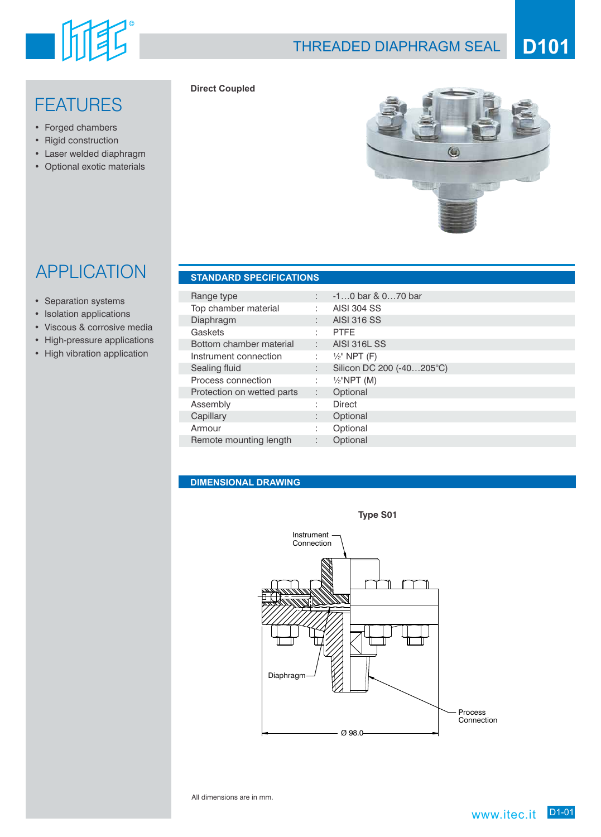# 山耳

## THREADED DIAPHRAGM SEAL **D101**

# **FEATURES**

- Forged chambers
- Rigid construction
- Laser welded diaphragm
- Optional exotic materials



## APPLICATION **STANDARD SPECIFICATIONS**

#### • Separation systems

- Isolation applications
- Viscous & corrosive media
- High-pressure applications
- High vibration application

| Range type                 |    | $-10$ bar & 070 bar       |
|----------------------------|----|---------------------------|
| Top chamber material       |    | <b>AISI 304 SS</b>        |
| Diaphragm                  |    | <b>AISI 316 SS</b>        |
| Gaskets                    |    | <b>PTFE</b>               |
| Bottom chamber material    | t. | <b>AISI 316L SS</b>       |
| Instrument connection      |    | $\frac{1}{2}$ " NPT (F)   |
| Sealing fluid              |    | Silicon DC 200 (-40205°C) |
| Process connection         |    | $1/2$ "NPT (M)            |
| Protection on wetted parts | ÷. | Optional                  |
| Assembly                   |    | <b>Direct</b>             |
| Capillary                  |    | Optional                  |
| Armour                     |    | Optional                  |
| Remote mounting length     |    | Optional                  |

### **DIMENSIONAL DRAWING**

**Direct Coupled**



All dimensions are in mm.

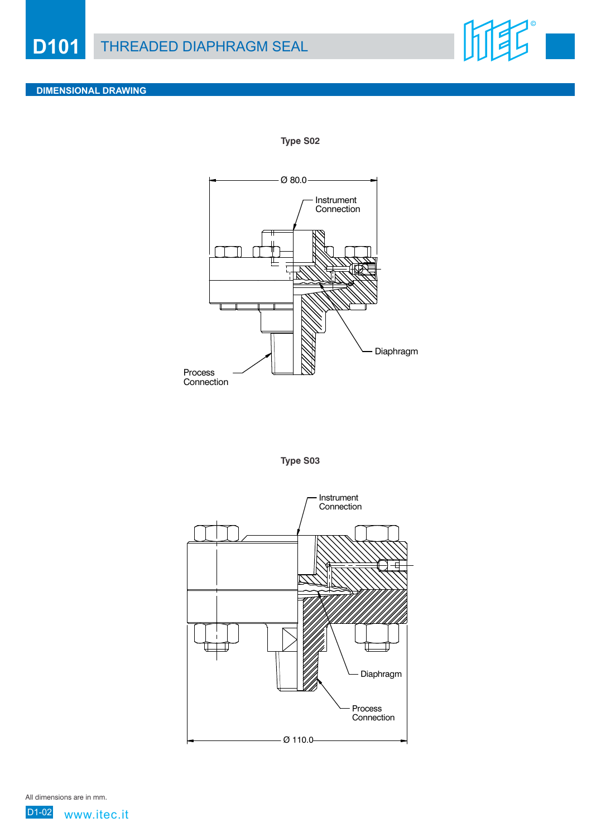

#### **DIMENSIONAL DRAWING**

**Type S02**



**Type S03**



All dimensions are in mm.